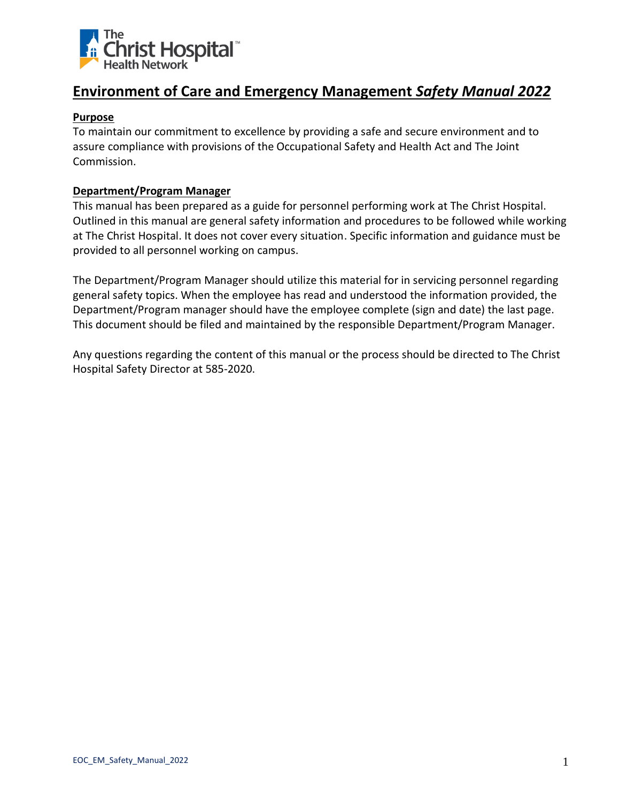

#### **Purpose**

To maintain our commitment to excellence by providing a safe and secure environment and to assure compliance with provisions of the Occupational Safety and Health Act and The Joint Commission.

#### **Department/Program Manager**

This manual has been prepared as a guide for personnel performing work at The Christ Hospital. Outlined in this manual are general safety information and procedures to be followed while working at The Christ Hospital. It does not cover every situation. Specific information and guidance must be provided to all personnel working on campus.

The Department/Program Manager should utilize this material for in servicing personnel regarding general safety topics. When the employee has read and understood the information provided, the Department/Program manager should have the employee complete (sign and date) the last page. This document should be filed and maintained by the responsible Department/Program Manager.

Any questions regarding the content of this manual or the process should be directed to The Christ Hospital Safety Director at 585-2020.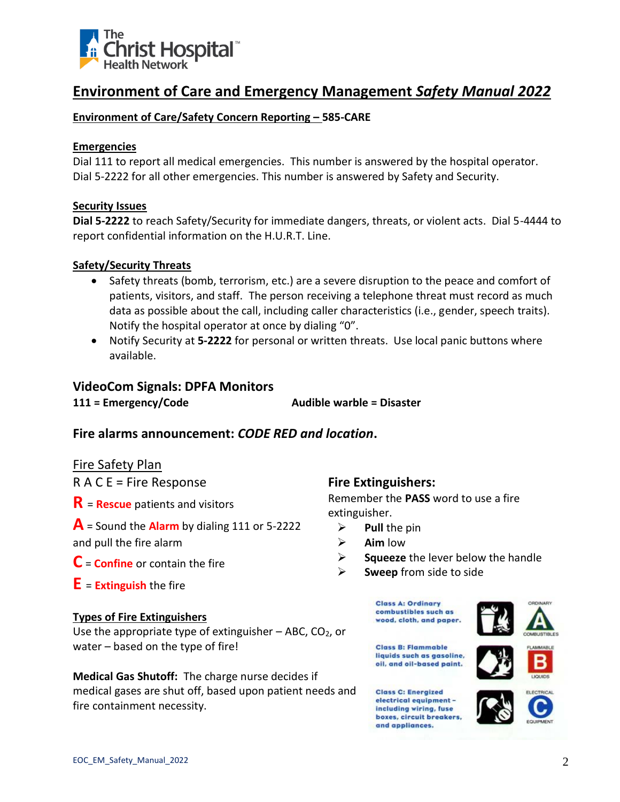

# **Environment of Care/Safety Concern Reporting – 585-CARE**

#### **Emergencies**

Dial 111 to report all medical emergencies. This number is answered by the hospital operator. Dial 5-2222 for all other emergencies. This number is answered by Safety and Security.

#### **Security Issues**

**Dial 5-2222** to reach Safety/Security for immediate dangers, threats, or violent acts. Dial 5-4444 to report confidential information on the H.U.R.T. Line.

# **Safety/Security Threats**

- Safety threats (bomb, terrorism, etc.) are a severe disruption to the peace and comfort of patients, visitors, and staff.The person receiving a telephone threat must record as much data as possible about the call, including caller characteristics (i.e., gender, speech traits). Notify the hospital operator at once by dialing "0".
- Notify Security at **5-2222** for personal or written threats. Use local panic buttons where available.

# **VideoCom Signals: DPFA Monitors**

**111 = Emergency/Code Audible warble = Disaster**

# **Fire alarms announcement:** *CODE RED and location***.**

# Fire Safety Plan

 $R A C E$  = Fire Response

- **R** <sup>=</sup>**Rescue** patients and visitors
- **A** = Sound the **Alarm** by dialing 111 or 5-2222

and pull the fire alarm

- **C** <sup>=</sup>**Confine** or contain the fire
- **E** <sup>=</sup>**Extinguish** the fire

# **Types of Fire Extinguishers**

Use the appropriate type of extinguisher  $-$  ABC, CO<sub>2</sub>, or water – based on the type of fire!

**Medical Gas Shutoff:** The charge nurse decides if medical gases are shut off, based upon patient needs and fire containment necessity.

# **Fire Extinguishers:**

Remember the **PASS** word to use a fire extinguisher.

- ➢ **Pull** the pin
- ➢ **Aim** low
- ➢ **Squeeze** the lever below the handle
- ➢ **Sweep** from side to side









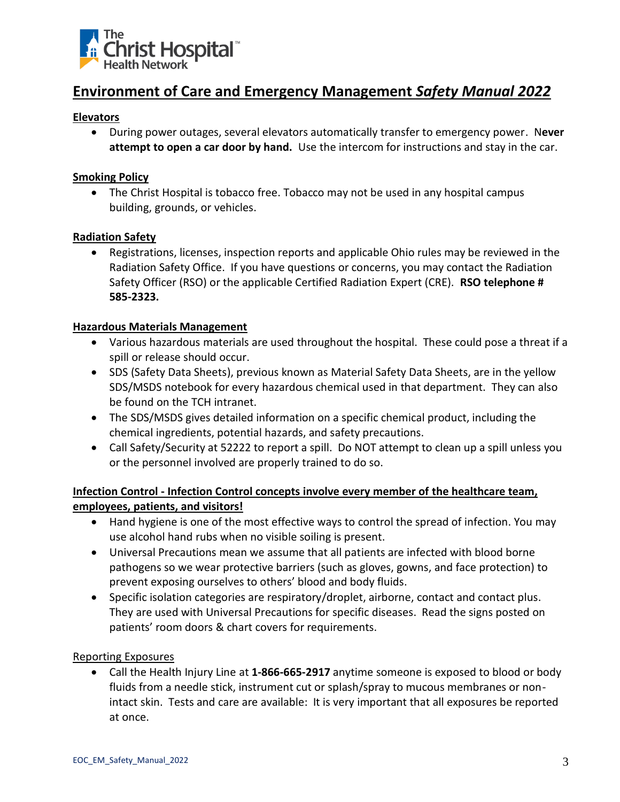

#### **Elevators**

• During power outages, several elevators automatically transfer to emergency power. N**ever attempt to open a car door by hand.** Use the intercom for instructions and stay in the car.

#### **Smoking Policy**

• The Christ Hospital is tobacco free. Tobacco may not be used in any hospital campus building, grounds, or vehicles.

#### **Radiation Safety**

• Registrations, licenses, inspection reports and applicable Ohio rules may be reviewed in the Radiation Safety Office. If you have questions or concerns, you may contact the Radiation Safety Officer (RSO) or the applicable Certified Radiation Expert (CRE). **RSO telephone # 585-2323.**

#### **Hazardous Materials Management**

- Various hazardous materials are used throughout the hospital. These could pose a threat if a spill or release should occur.
- SDS (Safety Data Sheets), previous known as Material Safety Data Sheets, are in the yellow SDS/MSDS notebook for every hazardous chemical used in that department. They can also be found on the TCH intranet.
- The SDS/MSDS gives detailed information on a specific chemical product, including the chemical ingredients, potential hazards, and safety precautions.
- Call Safety/Security at 52222 to report a spill. Do NOT attempt to clean up a spill unless you or the personnel involved are properly trained to do so.

# **Infection Control - Infection Control concepts involve every member of the healthcare team, employees, patients, and visitors!**

- Hand hygiene is one of the most effective ways to control the spread of infection. You may use alcohol hand rubs when no visible soiling is present.
- Universal Precautions mean we assume that all patients are infected with blood borne pathogens so we wear protective barriers (such as gloves, gowns, and face protection) to prevent exposing ourselves to others' blood and body fluids.
- Specific isolation categories are respiratory/droplet, airborne, contact and contact plus. They are used with Universal Precautions for specific diseases. Read the signs posted on patients' room doors & chart covers for requirements.

#### Reporting Exposures

• Call the Health Injury Line at **1-866-665-2917** anytime someone is exposed to blood or body fluids from a needle stick, instrument cut or splash/spray to mucous membranes or nonintact skin. Tests and care are available: It is very important that all exposures be reported at once.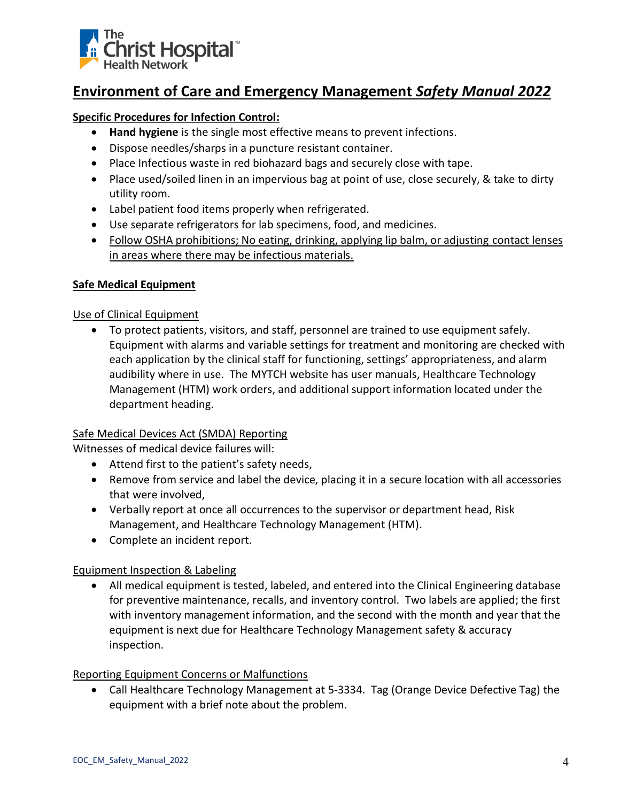

# **Specific Procedures for Infection Control:**

- **Hand hygiene** is the single most effective means to prevent infections.
- Dispose needles/sharps in a puncture resistant container.
- Place Infectious waste in red biohazard bags and securely close with tape.
- Place used/soiled linen in an impervious bag at point of use, close securely, & take to dirty utility room.
- Label patient food items properly when refrigerated.
- Use separate refrigerators for lab specimens, food, and medicines.
- Follow OSHA prohibitions; No eating, drinking, applying lip balm, or adjusting contact lenses in areas where there may be infectious materials.

# **Safe Medical Equipment**

# Use of Clinical Equipment

• To protect patients, visitors, and staff, personnel are trained to use equipment safely. Equipment with alarms and variable settings for treatment and monitoring are checked with each application by the clinical staff for functioning, settings' appropriateness, and alarm audibility where in use. The MYTCH website has user manuals, Healthcare Technology Management (HTM) work orders, and additional support information located under the department heading.

# Safe Medical Devices Act (SMDA) Reporting

Witnesses of medical device failures will:

- Attend first to the patient's safety needs,
- Remove from service and label the device, placing it in a secure location with all accessories that were involved,
- Verbally report at once all occurrences to the supervisor or department head, Risk Management, and Healthcare Technology Management (HTM).
- Complete an incident report.

# Equipment Inspection & Labeling

• All medical equipment is tested, labeled, and entered into the Clinical Engineering database for preventive maintenance, recalls, and inventory control. Two labels are applied; the first with inventory management information, and the second with the month and year that the equipment is next due for Healthcare Technology Management safety & accuracy inspection.

# Reporting Equipment Concerns or Malfunctions

• Call Healthcare Technology Management at 5-3334. Tag (Orange Device Defective Tag) the equipment with a brief note about the problem.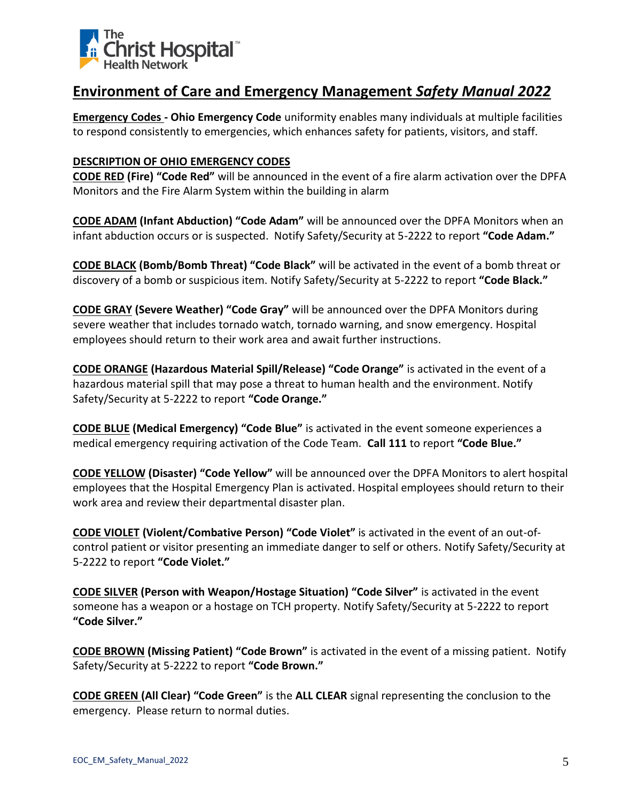

**Emergency Codes - Ohio Emergency Code** uniformity enables many individuals at multiple facilities to respond consistently to emergencies, which enhances safety for patients, visitors, and staff.

### **DESCRIPTION OF OHIO EMERGENCY CODES**

**CODE RED (Fire) "Code Red"** will be announced in the event of a fire alarm activation over the DPFA Monitors and the Fire Alarm System within the building in alarm

**CODE ADAM (Infant Abduction) "Code Adam"** will be announced over the DPFA Monitors when an infant abduction occurs or is suspected. Notify Safety/Security at 5-2222 to report **"Code Adam."**

**CODE BLACK (Bomb/Bomb Threat) "Code Black"** will be activated in the event of a bomb threat or discovery of a bomb or suspicious item. Notify Safety/Security at 5-2222 to report **"Code Black."**

**CODE GRAY (Severe Weather) "Code Gray"** will be announced over the DPFA Monitors during severe weather that includes tornado watch, tornado warning, and snow emergency. Hospital employees should return to their work area and await further instructions.

**CODE ORANGE (Hazardous Material Spill/Release) "Code Orange"** is activated in the event of a hazardous material spill that may pose a threat to human health and the environment. Notify Safety/Security at 5-2222 to report **"Code Orange."**

**CODE BLUE (Medical Emergency) "Code Blue"** is activated in the event someone experiences a medical emergency requiring activation of the Code Team. **Call 111** to report **"Code Blue."**

**CODE YELLOW (Disaster) "Code Yellow"** will be announced over the DPFA Monitors to alert hospital employees that the Hospital Emergency Plan is activated. Hospital employees should return to their work area and review their departmental disaster plan.

**CODE VIOLET (Violent/Combative Person) "Code Violet"** is activated in the event of an out-ofcontrol patient or visitor presenting an immediate danger to self or others. Notify Safety/Security at 5-2222 to report **"Code Violet."**

**CODE SILVER (Person with Weapon/Hostage Situation) "Code Silver"** is activated in the event someone has a weapon or a hostage on TCH property. Notify Safety/Security at 5-2222 to report **"Code Silver."**

**CODE BROWN (Missing Patient) "Code Brown"** is activated in the event of a missing patient. Notify Safety/Security at 5-2222 to report **"Code Brown."**

**CODE GREEN (All Clear) "Code Green"** is the **ALL CLEAR** signal representing the conclusion to the emergency. Please return to normal duties.